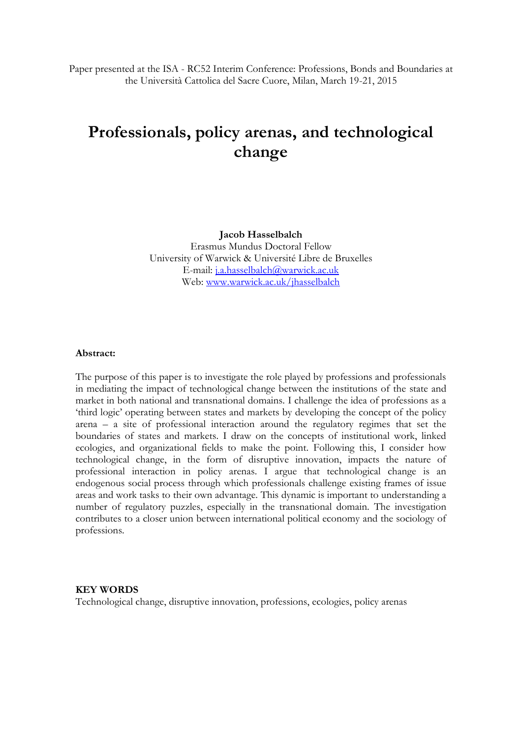Paper presented at the ISA - RC52 Interim Conference: Professions, Bonds and Boundaries at the Università Cattolica del Sacre Cuore, Milan, March 19-21, 2015

# **Professionals, policy arenas, and technological change**

**Jacob Hasselbalch** Erasmus Mundus Doctoral Fellow University of Warwick & Université Libre de Bruxelles E-mail: [j.a.hasselbalch@warwick.ac.uk](mailto:j.a.hasselbalch@warwick.ac.uk) Web: [www.warwick.ac.uk/jhasselbalch](http://www.warwick.ac.uk/jhasselbalch)

### **Abstract:**

The purpose of this paper is to investigate the role played by professions and professionals in mediating the impact of technological change between the institutions of the state and market in both national and transnational domains. I challenge the idea of professions as a 'third logic' operating between states and markets by developing the concept of the policy arena – a site of professional interaction around the regulatory regimes that set the boundaries of states and markets. I draw on the concepts of institutional work, linked ecologies, and organizational fields to make the point. Following this, I consider how technological change, in the form of disruptive innovation, impacts the nature of professional interaction in policy arenas. I argue that technological change is an endogenous social process through which professionals challenge existing frames of issue areas and work tasks to their own advantage. This dynamic is important to understanding a number of regulatory puzzles, especially in the transnational domain. The investigation contributes to a closer union between international political economy and the sociology of professions.

### **KEY WORDS**

Technological change, disruptive innovation, professions, ecologies, policy arenas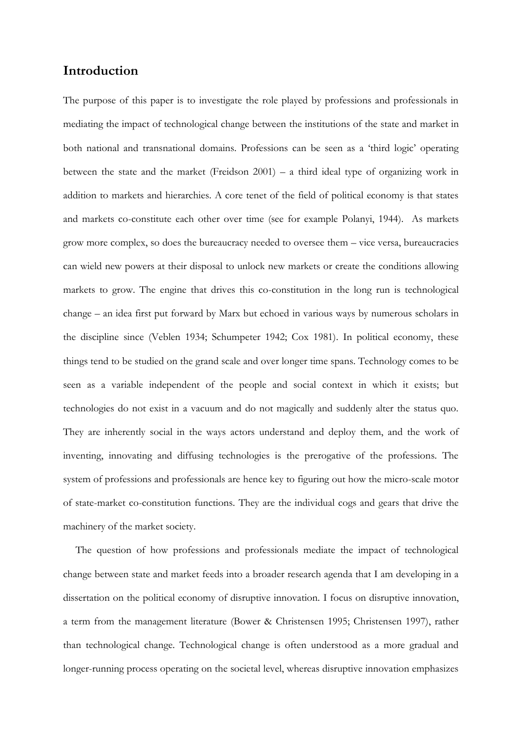# **Introduction**

The purpose of this paper is to investigate the role played by professions and professionals in mediating the impact of technological change between the institutions of the state and market in both national and transnational domains. Professions can be seen as a 'third logic' operating between the state and the market (Freidson 2001) – a third ideal type of organizing work in addition to markets and hierarchies. A core tenet of the field of political economy is that states and markets co-constitute each other over time (see for example Polanyi, 1944). As markets grow more complex, so does the bureaucracy needed to oversee them – vice versa, bureaucracies can wield new powers at their disposal to unlock new markets or create the conditions allowing markets to grow. The engine that drives this co-constitution in the long run is technological change – an idea first put forward by Marx but echoed in various ways by numerous scholars in the discipline since (Veblen 1934; Schumpeter 1942; Cox 1981). In political economy, these things tend to be studied on the grand scale and over longer time spans. Technology comes to be seen as a variable independent of the people and social context in which it exists; but technologies do not exist in a vacuum and do not magically and suddenly alter the status quo. They are inherently social in the ways actors understand and deploy them, and the work of inventing, innovating and diffusing technologies is the prerogative of the professions. The system of professions and professionals are hence key to figuring out how the micro-scale motor of state-market co-constitution functions. They are the individual cogs and gears that drive the machinery of the market society.

The question of how professions and professionals mediate the impact of technological change between state and market feeds into a broader research agenda that I am developing in a dissertation on the political economy of disruptive innovation. I focus on disruptive innovation, a term from the management literature (Bower & Christensen 1995; Christensen 1997), rather than technological change. Technological change is often understood as a more gradual and longer-running process operating on the societal level, whereas disruptive innovation emphasizes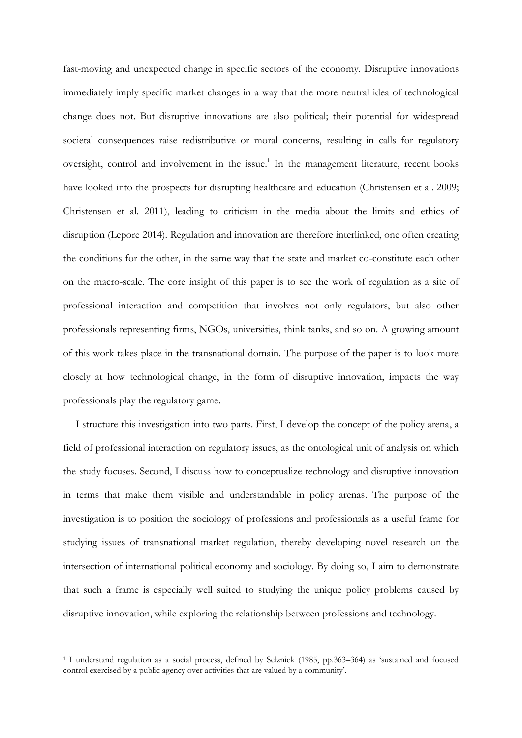fast-moving and unexpected change in specific sectors of the economy. Disruptive innovations immediately imply specific market changes in a way that the more neutral idea of technological change does not. But disruptive innovations are also political; their potential for widespread societal consequences raise redistributive or moral concerns, resulting in calls for regulatory oversight, control and involvement in the issue.<sup>1</sup> In the management literature, recent books have looked into the prospects for disrupting healthcare and education (Christensen et al. 2009; Christensen et al. 2011), leading to criticism in the media about the limits and ethics of disruption (Lepore 2014). Regulation and innovation are therefore interlinked, one often creating the conditions for the other, in the same way that the state and market co-constitute each other on the macro-scale. The core insight of this paper is to see the work of regulation as a site of professional interaction and competition that involves not only regulators, but also other professionals representing firms, NGOs, universities, think tanks, and so on. A growing amount of this work takes place in the transnational domain. The purpose of the paper is to look more closely at how technological change, in the form of disruptive innovation, impacts the way professionals play the regulatory game.

I structure this investigation into two parts. First, I develop the concept of the policy arena, a field of professional interaction on regulatory issues, as the ontological unit of analysis on which the study focuses. Second, I discuss how to conceptualize technology and disruptive innovation in terms that make them visible and understandable in policy arenas. The purpose of the investigation is to position the sociology of professions and professionals as a useful frame for studying issues of transnational market regulation, thereby developing novel research on the intersection of international political economy and sociology. By doing so, I aim to demonstrate that such a frame is especially well suited to studying the unique policy problems caused by disruptive innovation, while exploring the relationship between professions and technology.

-

<sup>1</sup> I understand regulation as a social process, defined by Selznick (1985, pp.363–364) as 'sustained and focused control exercised by a public agency over activities that are valued by a community'.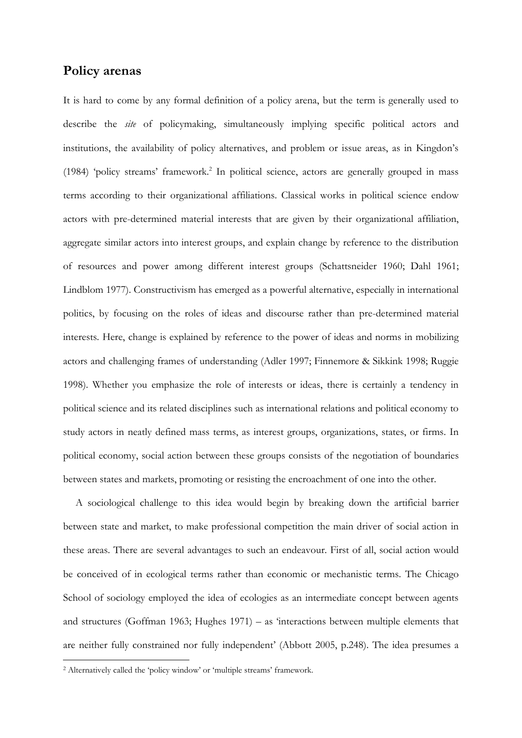## **Policy arenas**

It is hard to come by any formal definition of a policy arena, but the term is generally used to describe the *site* of policymaking, simultaneously implying specific political actors and institutions, the availability of policy alternatives, and problem or issue areas, as in Kingdon's (1984) 'policy streams' framework.<sup>2</sup> In political science, actors are generally grouped in mass terms according to their organizational affiliations. Classical works in political science endow actors with pre-determined material interests that are given by their organizational affiliation, aggregate similar actors into interest groups, and explain change by reference to the distribution of resources and power among different interest groups (Schattsneider 1960; Dahl 1961; Lindblom 1977). Constructivism has emerged as a powerful alternative, especially in international politics, by focusing on the roles of ideas and discourse rather than pre-determined material interests. Here, change is explained by reference to the power of ideas and norms in mobilizing actors and challenging frames of understanding (Adler 1997; Finnemore & Sikkink 1998; Ruggie 1998). Whether you emphasize the role of interests or ideas, there is certainly a tendency in political science and its related disciplines such as international relations and political economy to study actors in neatly defined mass terms, as interest groups, organizations, states, or firms. In political economy, social action between these groups consists of the negotiation of boundaries between states and markets, promoting or resisting the encroachment of one into the other.

A sociological challenge to this idea would begin by breaking down the artificial barrier between state and market, to make professional competition the main driver of social action in these areas. There are several advantages to such an endeavour. First of all, social action would be conceived of in ecological terms rather than economic or mechanistic terms. The Chicago School of sociology employed the idea of ecologies as an intermediate concept between agents and structures (Goffman 1963; Hughes 1971) – as 'interactions between multiple elements that are neither fully constrained nor fully independent' (Abbott 2005, p.248). The idea presumes a

-

<sup>2</sup> Alternatively called the 'policy window' or 'multiple streams' framework.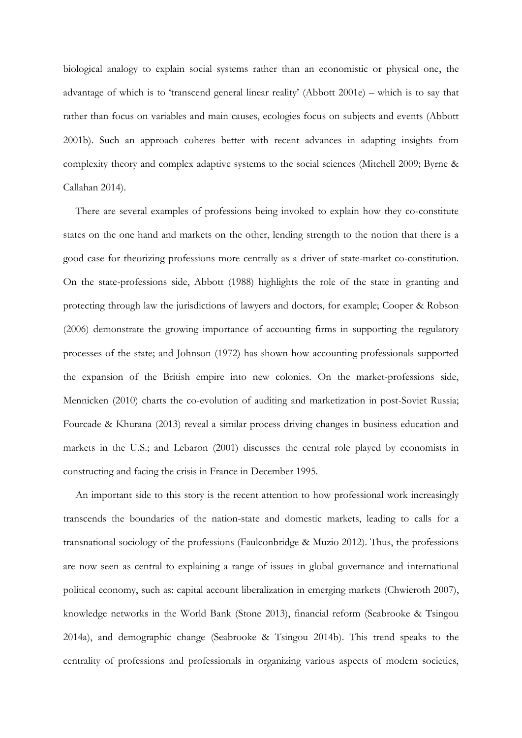biological analogy to explain social systems rather than an economistic or physical one, the advantage of which is to 'transcend general linear reality' (Abbott 2001e) – which is to say that rather than focus on variables and main causes, ecologies focus on subjects and events (Abbott 2001b). Such an approach coheres better with recent advances in adapting insights from complexity theory and complex adaptive systems to the social sciences (Mitchell 2009; Byrne & Callahan 2014).

There are several examples of professions being invoked to explain how they co-constitute states on the one hand and markets on the other, lending strength to the notion that there is a good case for theorizing professions more centrally as a driver of state-market co-constitution. On the state-professions side, Abbott (1988) highlights the role of the state in granting and protecting through law the jurisdictions of lawyers and doctors, for example; Cooper & Robson (2006) demonstrate the growing importance of accounting firms in supporting the regulatory processes of the state; and Johnson (1972) has shown how accounting professionals supported the expansion of the British empire into new colonies. On the market-professions side, Mennicken (2010) charts the co-evolution of auditing and marketization in post-Soviet Russia; Fourcade & Khurana (2013) reveal a similar process driving changes in business education and markets in the U.S.; and Lebaron (2001) discusses the central role played by economists in constructing and facing the crisis in France in December 1995.

An important side to this story is the recent attention to how professional work increasingly transcends the boundaries of the nation-state and domestic markets, leading to calls for a transnational sociology of the professions (Faulconbridge & Muzio 2012). Thus, the professions are now seen as central to explaining a range of issues in global governance and international political economy, such as: capital account liberalization in emerging markets (Chwieroth 2007), knowledge networks in the World Bank (Stone 2013), financial reform (Seabrooke & Tsingou 2014a), and demographic change (Seabrooke & Tsingou 2014b). This trend speaks to the centrality of professions and professionals in organizing various aspects of modern societies,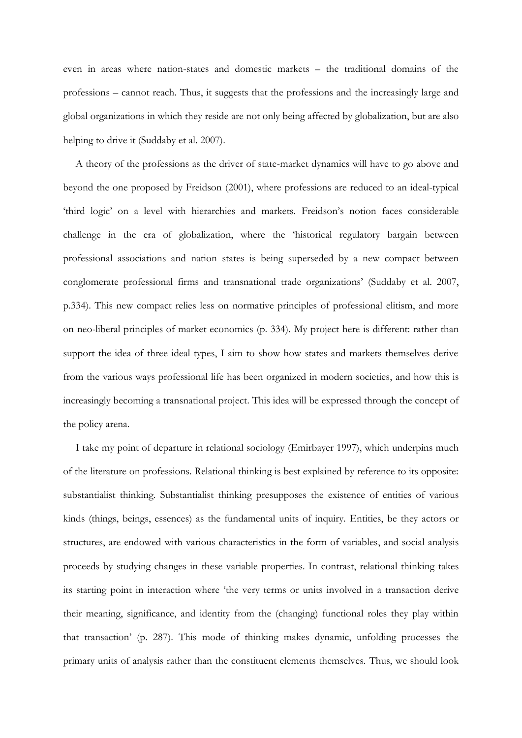even in areas where nation-states and domestic markets – the traditional domains of the professions – cannot reach. Thus, it suggests that the professions and the increasingly large and global organizations in which they reside are not only being affected by globalization, but are also helping to drive it (Suddaby et al. 2007).

A theory of the professions as the driver of state-market dynamics will have to go above and beyond the one proposed by Freidson (2001), where professions are reduced to an ideal-typical 'third logic' on a level with hierarchies and markets. Freidson's notion faces considerable challenge in the era of globalization, where the 'historical regulatory bargain between professional associations and nation states is being superseded by a new compact between conglomerate professional firms and transnational trade organizations' (Suddaby et al. 2007, p.334). This new compact relies less on normative principles of professional elitism, and more on neo-liberal principles of market economics (p. 334). My project here is different: rather than support the idea of three ideal types, I aim to show how states and markets themselves derive from the various ways professional life has been organized in modern societies, and how this is increasingly becoming a transnational project. This idea will be expressed through the concept of the policy arena.

I take my point of departure in relational sociology (Emirbayer 1997), which underpins much of the literature on professions. Relational thinking is best explained by reference to its opposite: substantialist thinking. Substantialist thinking presupposes the existence of entities of various kinds (things, beings, essences) as the fundamental units of inquiry. Entities, be they actors or structures, are endowed with various characteristics in the form of variables, and social analysis proceeds by studying changes in these variable properties. In contrast, relational thinking takes its starting point in interaction where 'the very terms or units involved in a transaction derive their meaning, significance, and identity from the (changing) functional roles they play within that transaction' (p. 287). This mode of thinking makes dynamic, unfolding processes the primary units of analysis rather than the constituent elements themselves. Thus, we should look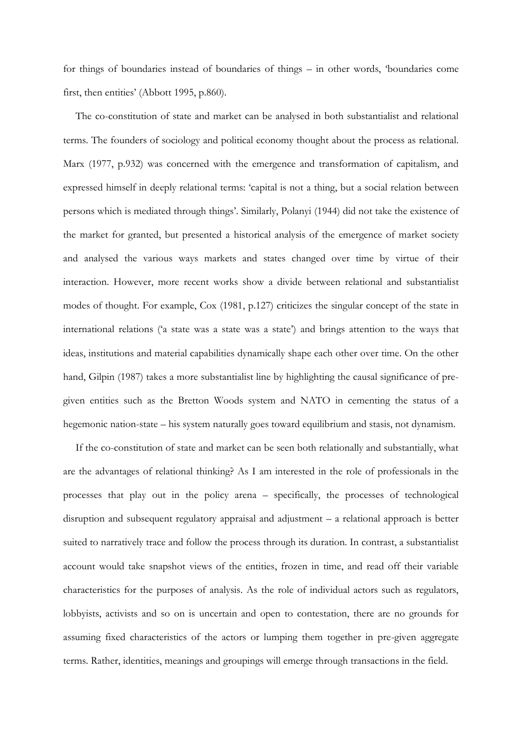for things of boundaries instead of boundaries of things – in other words, 'boundaries come first, then entities' (Abbott 1995, p.860).

The co-constitution of state and market can be analysed in both substantialist and relational terms. The founders of sociology and political economy thought about the process as relational. Marx (1977, p.932) was concerned with the emergence and transformation of capitalism, and expressed himself in deeply relational terms: 'capital is not a thing, but a social relation between persons which is mediated through things'. Similarly, Polanyi (1944) did not take the existence of the market for granted, but presented a historical analysis of the emergence of market society and analysed the various ways markets and states changed over time by virtue of their interaction. However, more recent works show a divide between relational and substantialist modes of thought. For example, Cox (1981, p.127) criticizes the singular concept of the state in international relations ('a state was a state was a state') and brings attention to the ways that ideas, institutions and material capabilities dynamically shape each other over time. On the other hand, Gilpin (1987) takes a more substantialist line by highlighting the causal significance of pregiven entities such as the Bretton Woods system and NATO in cementing the status of a hegemonic nation-state – his system naturally goes toward equilibrium and stasis, not dynamism.

If the co-constitution of state and market can be seen both relationally and substantially, what are the advantages of relational thinking? As I am interested in the role of professionals in the processes that play out in the policy arena – specifically, the processes of technological disruption and subsequent regulatory appraisal and adjustment – a relational approach is better suited to narratively trace and follow the process through its duration. In contrast, a substantialist account would take snapshot views of the entities, frozen in time, and read off their variable characteristics for the purposes of analysis. As the role of individual actors such as regulators, lobbyists, activists and so on is uncertain and open to contestation, there are no grounds for assuming fixed characteristics of the actors or lumping them together in pre-given aggregate terms. Rather, identities, meanings and groupings will emerge through transactions in the field.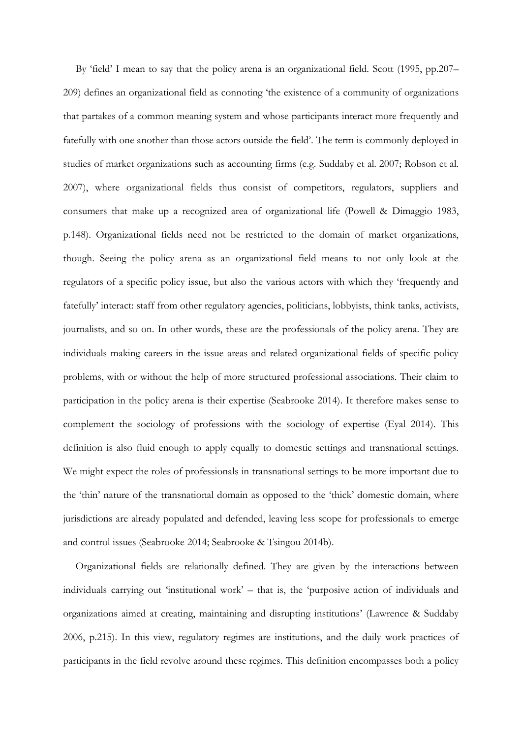By 'field' I mean to say that the policy arena is an organizational field. Scott (1995, pp.207– 209) defines an organizational field as connoting 'the existence of a community of organizations that partakes of a common meaning system and whose participants interact more frequently and fatefully with one another than those actors outside the field'. The term is commonly deployed in studies of market organizations such as accounting firms (e.g. Suddaby et al. 2007; Robson et al. 2007), where organizational fields thus consist of competitors, regulators, suppliers and consumers that make up a recognized area of organizational life (Powell & Dimaggio 1983, p.148). Organizational fields need not be restricted to the domain of market organizations, though. Seeing the policy arena as an organizational field means to not only look at the regulators of a specific policy issue, but also the various actors with which they 'frequently and fatefully' interact: staff from other regulatory agencies, politicians, lobbyists, think tanks, activists, journalists, and so on. In other words, these are the professionals of the policy arena. They are individuals making careers in the issue areas and related organizational fields of specific policy problems, with or without the help of more structured professional associations. Their claim to participation in the policy arena is their expertise (Seabrooke 2014). It therefore makes sense to complement the sociology of professions with the sociology of expertise (Eyal 2014). This definition is also fluid enough to apply equally to domestic settings and transnational settings. We might expect the roles of professionals in transnational settings to be more important due to the 'thin' nature of the transnational domain as opposed to the 'thick' domestic domain, where jurisdictions are already populated and defended, leaving less scope for professionals to emerge and control issues (Seabrooke 2014; Seabrooke & Tsingou 2014b).

Organizational fields are relationally defined. They are given by the interactions between individuals carrying out 'institutional work' – that is, the 'purposive action of individuals and organizations aimed at creating, maintaining and disrupting institutions' (Lawrence & Suddaby 2006, p.215). In this view, regulatory regimes are institutions, and the daily work practices of participants in the field revolve around these regimes. This definition encompasses both a policy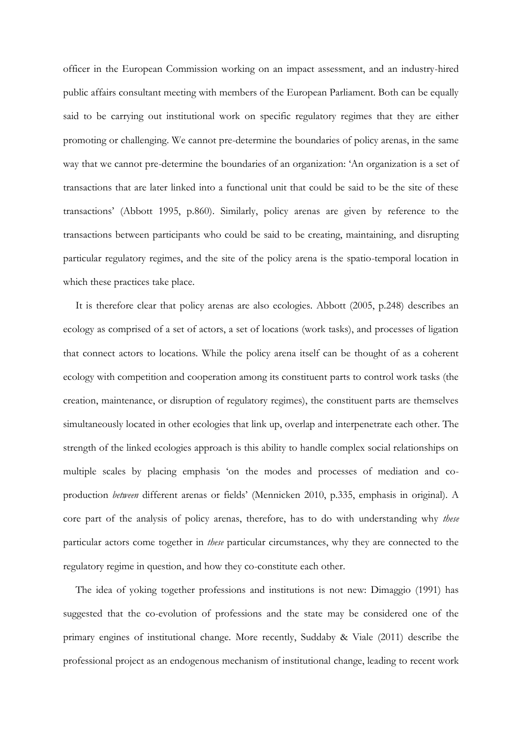officer in the European Commission working on an impact assessment, and an industry-hired public affairs consultant meeting with members of the European Parliament. Both can be equally said to be carrying out institutional work on specific regulatory regimes that they are either promoting or challenging. We cannot pre-determine the boundaries of policy arenas, in the same way that we cannot pre-determine the boundaries of an organization: 'An organization is a set of transactions that are later linked into a functional unit that could be said to be the site of these transactions' (Abbott 1995, p.860). Similarly, policy arenas are given by reference to the transactions between participants who could be said to be creating, maintaining, and disrupting particular regulatory regimes, and the site of the policy arena is the spatio-temporal location in which these practices take place.

It is therefore clear that policy arenas are also ecologies. Abbott (2005, p.248) describes an ecology as comprised of a set of actors, a set of locations (work tasks), and processes of ligation that connect actors to locations. While the policy arena itself can be thought of as a coherent ecology with competition and cooperation among its constituent parts to control work tasks (the creation, maintenance, or disruption of regulatory regimes), the constituent parts are themselves simultaneously located in other ecologies that link up, overlap and interpenetrate each other. The strength of the linked ecologies approach is this ability to handle complex social relationships on multiple scales by placing emphasis 'on the modes and processes of mediation and coproduction *between* different arenas or fields' (Mennicken 2010, p.335, emphasis in original). A core part of the analysis of policy arenas, therefore, has to do with understanding why *these*  particular actors come together in *these* particular circumstances, why they are connected to the regulatory regime in question, and how they co-constitute each other.

The idea of yoking together professions and institutions is not new: Dimaggio (1991) has suggested that the co-evolution of professions and the state may be considered one of the primary engines of institutional change. More recently, Suddaby & Viale (2011) describe the professional project as an endogenous mechanism of institutional change, leading to recent work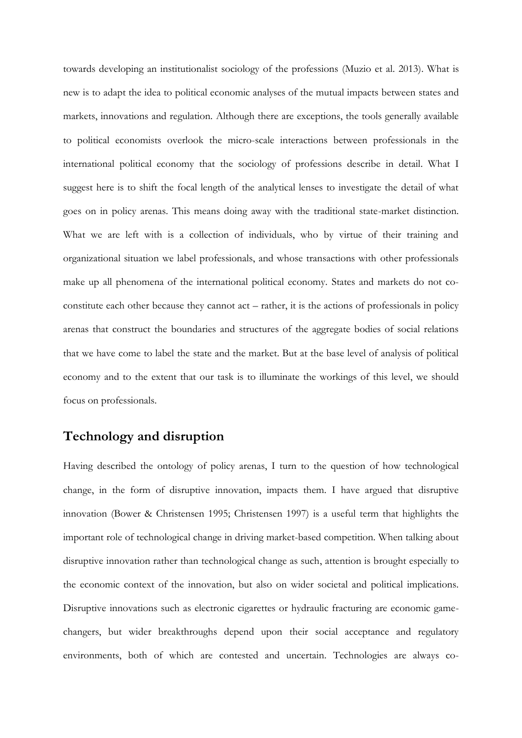towards developing an institutionalist sociology of the professions (Muzio et al. 2013). What is new is to adapt the idea to political economic analyses of the mutual impacts between states and markets, innovations and regulation. Although there are exceptions, the tools generally available to political economists overlook the micro-scale interactions between professionals in the international political economy that the sociology of professions describe in detail. What I suggest here is to shift the focal length of the analytical lenses to investigate the detail of what goes on in policy arenas. This means doing away with the traditional state-market distinction. What we are left with is a collection of individuals, who by virtue of their training and organizational situation we label professionals, and whose transactions with other professionals make up all phenomena of the international political economy. States and markets do not coconstitute each other because they cannot act – rather, it is the actions of professionals in policy arenas that construct the boundaries and structures of the aggregate bodies of social relations that we have come to label the state and the market. But at the base level of analysis of political economy and to the extent that our task is to illuminate the workings of this level, we should focus on professionals.

# **Technology and disruption**

Having described the ontology of policy arenas, I turn to the question of how technological change, in the form of disruptive innovation, impacts them. I have argued that disruptive innovation (Bower & Christensen 1995; Christensen 1997) is a useful term that highlights the important role of technological change in driving market-based competition. When talking about disruptive innovation rather than technological change as such, attention is brought especially to the economic context of the innovation, but also on wider societal and political implications. Disruptive innovations such as electronic cigarettes or hydraulic fracturing are economic gamechangers, but wider breakthroughs depend upon their social acceptance and regulatory environments, both of which are contested and uncertain. Technologies are always co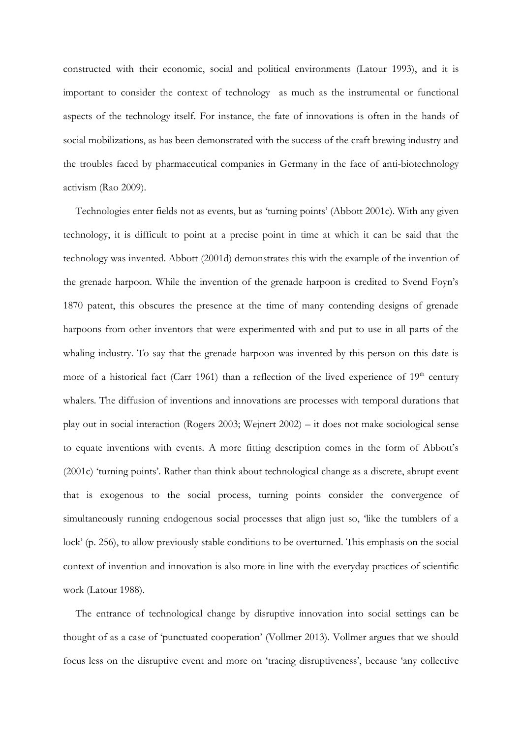constructed with their economic, social and political environments (Latour 1993), and it is important to consider the context of technology as much as the instrumental or functional aspects of the technology itself. For instance, the fate of innovations is often in the hands of social mobilizations, as has been demonstrated with the success of the craft brewing industry and the troubles faced by pharmaceutical companies in Germany in the face of anti-biotechnology activism (Rao 2009).

Technologies enter fields not as events, but as 'turning points' (Abbott 2001c). With any given technology, it is difficult to point at a precise point in time at which it can be said that the technology was invented. Abbott (2001d) demonstrates this with the example of the invention of the grenade harpoon. While the invention of the grenade harpoon is credited to Svend Foyn's 1870 patent, this obscures the presence at the time of many contending designs of grenade harpoons from other inventors that were experimented with and put to use in all parts of the whaling industry. To say that the grenade harpoon was invented by this person on this date is more of a historical fact (Carr 1961) than a reflection of the lived experience of  $19<sup>th</sup>$  century whalers. The diffusion of inventions and innovations are processes with temporal durations that play out in social interaction (Rogers 2003; Wejnert 2002) – it does not make sociological sense to equate inventions with events. A more fitting description comes in the form of Abbott's (2001c) 'turning points'. Rather than think about technological change as a discrete, abrupt event that is exogenous to the social process, turning points consider the convergence of simultaneously running endogenous social processes that align just so, 'like the tumblers of a lock' (p. 256), to allow previously stable conditions to be overturned. This emphasis on the social context of invention and innovation is also more in line with the everyday practices of scientific work (Latour 1988).

The entrance of technological change by disruptive innovation into social settings can be thought of as a case of 'punctuated cooperation' (Vollmer 2013). Vollmer argues that we should focus less on the disruptive event and more on 'tracing disruptiveness', because 'any collective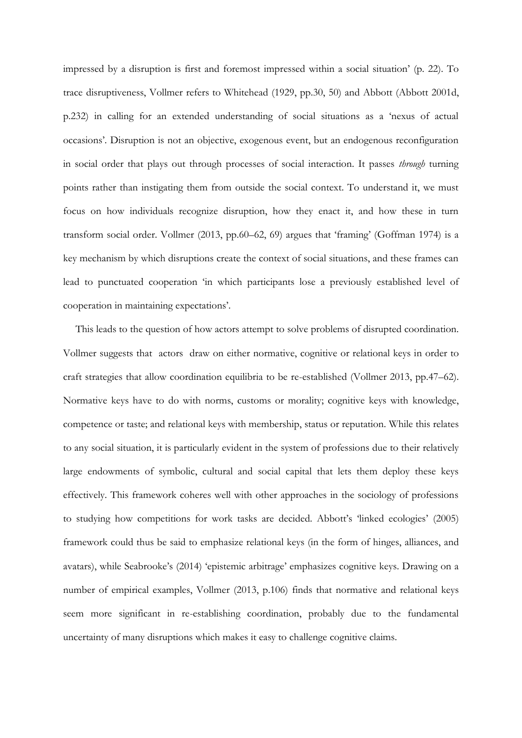impressed by a disruption is first and foremost impressed within a social situation' (p. 22). To trace disruptiveness, Vollmer refers to Whitehead (1929, pp.30, 50) and Abbott (Abbott 2001d, p.232) in calling for an extended understanding of social situations as a 'nexus of actual occasions'. Disruption is not an objective, exogenous event, but an endogenous reconfiguration in social order that plays out through processes of social interaction. It passes *through* turning points rather than instigating them from outside the social context. To understand it, we must focus on how individuals recognize disruption, how they enact it, and how these in turn transform social order. Vollmer (2013, pp.60–62, 69) argues that 'framing' (Goffman 1974) is a key mechanism by which disruptions create the context of social situations, and these frames can lead to punctuated cooperation 'in which participants lose a previously established level of cooperation in maintaining expectations'.

This leads to the question of how actors attempt to solve problems of disrupted coordination. Vollmer suggests that actors draw on either normative, cognitive or relational keys in order to craft strategies that allow coordination equilibria to be re-established (Vollmer 2013, pp.47–62). Normative keys have to do with norms, customs or morality; cognitive keys with knowledge, competence or taste; and relational keys with membership, status or reputation. While this relates to any social situation, it is particularly evident in the system of professions due to their relatively large endowments of symbolic, cultural and social capital that lets them deploy these keys effectively. This framework coheres well with other approaches in the sociology of professions to studying how competitions for work tasks are decided. Abbott's 'linked ecologies' (2005) framework could thus be said to emphasize relational keys (in the form of hinges, alliances, and avatars), while Seabrooke's (2014) 'epistemic arbitrage' emphasizes cognitive keys. Drawing on a number of empirical examples, Vollmer (2013, p.106) finds that normative and relational keys seem more significant in re-establishing coordination, probably due to the fundamental uncertainty of many disruptions which makes it easy to challenge cognitive claims.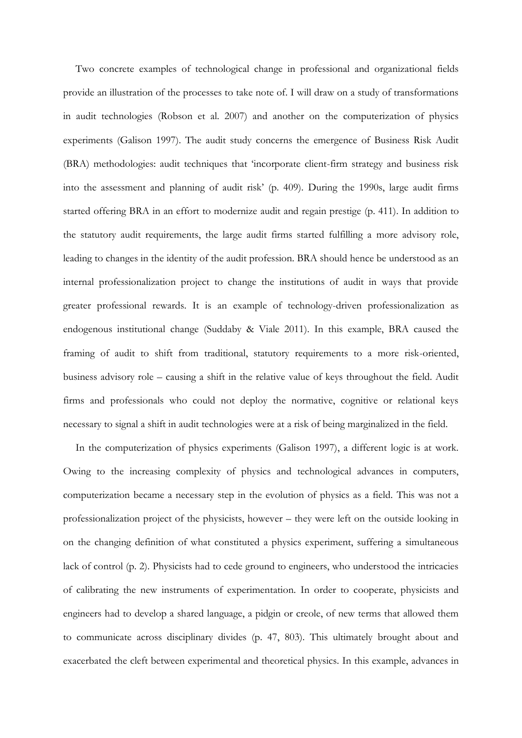Two concrete examples of technological change in professional and organizational fields provide an illustration of the processes to take note of. I will draw on a study of transformations in audit technologies (Robson et al. 2007) and another on the computerization of physics experiments (Galison 1997). The audit study concerns the emergence of Business Risk Audit (BRA) methodologies: audit techniques that 'incorporate client-firm strategy and business risk into the assessment and planning of audit risk' (p. 409). During the 1990s, large audit firms started offering BRA in an effort to modernize audit and regain prestige (p. 411). In addition to the statutory audit requirements, the large audit firms started fulfilling a more advisory role, leading to changes in the identity of the audit profession. BRA should hence be understood as an internal professionalization project to change the institutions of audit in ways that provide greater professional rewards. It is an example of technology-driven professionalization as endogenous institutional change (Suddaby & Viale 2011). In this example, BRA caused the framing of audit to shift from traditional, statutory requirements to a more risk-oriented, business advisory role – causing a shift in the relative value of keys throughout the field. Audit firms and professionals who could not deploy the normative, cognitive or relational keys necessary to signal a shift in audit technologies were at a risk of being marginalized in the field.

In the computerization of physics experiments (Galison 1997), a different logic is at work. Owing to the increasing complexity of physics and technological advances in computers, computerization became a necessary step in the evolution of physics as a field. This was not a professionalization project of the physicists, however – they were left on the outside looking in on the changing definition of what constituted a physics experiment, suffering a simultaneous lack of control (p. 2). Physicists had to cede ground to engineers, who understood the intricacies of calibrating the new instruments of experimentation. In order to cooperate, physicists and engineers had to develop a shared language, a pidgin or creole, of new terms that allowed them to communicate across disciplinary divides (p. 47, 803). This ultimately brought about and exacerbated the cleft between experimental and theoretical physics. In this example, advances in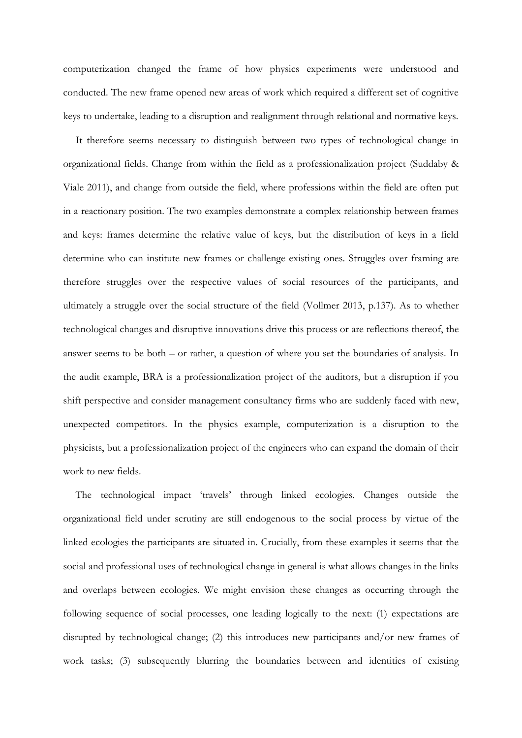computerization changed the frame of how physics experiments were understood and conducted. The new frame opened new areas of work which required a different set of cognitive keys to undertake, leading to a disruption and realignment through relational and normative keys.

It therefore seems necessary to distinguish between two types of technological change in organizational fields. Change from within the field as a professionalization project (Suddaby & Viale 2011), and change from outside the field, where professions within the field are often put in a reactionary position. The two examples demonstrate a complex relationship between frames and keys: frames determine the relative value of keys, but the distribution of keys in a field determine who can institute new frames or challenge existing ones. Struggles over framing are therefore struggles over the respective values of social resources of the participants, and ultimately a struggle over the social structure of the field (Vollmer 2013, p.137). As to whether technological changes and disruptive innovations drive this process or are reflections thereof, the answer seems to be both – or rather, a question of where you set the boundaries of analysis. In the audit example, BRA is a professionalization project of the auditors, but a disruption if you shift perspective and consider management consultancy firms who are suddenly faced with new, unexpected competitors. In the physics example, computerization is a disruption to the physicists, but a professionalization project of the engineers who can expand the domain of their work to new fields.

The technological impact 'travels' through linked ecologies. Changes outside the organizational field under scrutiny are still endogenous to the social process by virtue of the linked ecologies the participants are situated in. Crucially, from these examples it seems that the social and professional uses of technological change in general is what allows changes in the links and overlaps between ecologies. We might envision these changes as occurring through the following sequence of social processes, one leading logically to the next: (1) expectations are disrupted by technological change; (2) this introduces new participants and/or new frames of work tasks; (3) subsequently blurring the boundaries between and identities of existing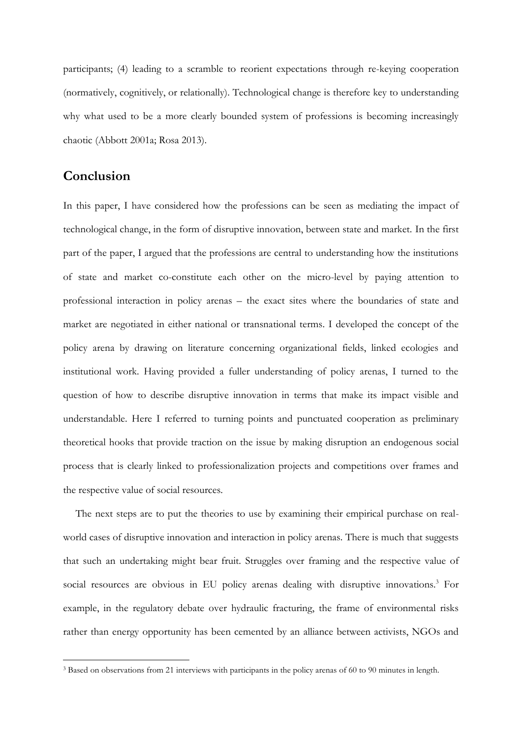participants; (4) leading to a scramble to reorient expectations through re-keying cooperation (normatively, cognitively, or relationally). Technological change is therefore key to understanding why what used to be a more clearly bounded system of professions is becoming increasingly chaotic (Abbott 2001a; Rosa 2013).

# **Conclusion**

-

In this paper, I have considered how the professions can be seen as mediating the impact of technological change, in the form of disruptive innovation, between state and market. In the first part of the paper, I argued that the professions are central to understanding how the institutions of state and market co-constitute each other on the micro-level by paying attention to professional interaction in policy arenas – the exact sites where the boundaries of state and market are negotiated in either national or transnational terms. I developed the concept of the policy arena by drawing on literature concerning organizational fields, linked ecologies and institutional work. Having provided a fuller understanding of policy arenas, I turned to the question of how to describe disruptive innovation in terms that make its impact visible and understandable. Here I referred to turning points and punctuated cooperation as preliminary theoretical hooks that provide traction on the issue by making disruption an endogenous social process that is clearly linked to professionalization projects and competitions over frames and the respective value of social resources.

The next steps are to put the theories to use by examining their empirical purchase on realworld cases of disruptive innovation and interaction in policy arenas. There is much that suggests that such an undertaking might bear fruit. Struggles over framing and the respective value of social resources are obvious in EU policy arenas dealing with disruptive innovations.<sup>3</sup> For example, in the regulatory debate over hydraulic fracturing, the frame of environmental risks rather than energy opportunity has been cemented by an alliance between activists, NGOs and

<sup>3</sup> Based on observations from 21 interviews with participants in the policy arenas of 60 to 90 minutes in length.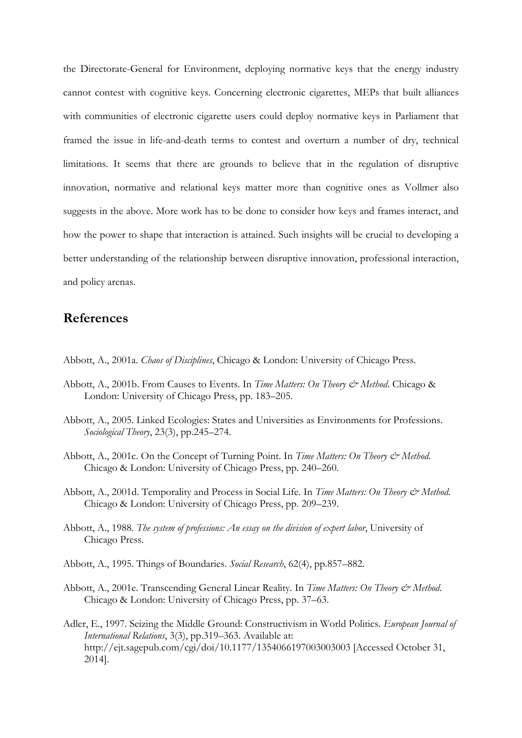the Directorate-General for Environment, deploying normative keys that the energy industry cannot contest with cognitive keys. Concerning electronic cigarettes, MEPs that built alliances with communities of electronic cigarette users could deploy normative keys in Parliament that framed the issue in life-and-death terms to contest and overturn a number of dry, technical limitations. It seems that there are grounds to believe that in the regulation of disruptive innovation, normative and relational keys matter more than cognitive ones as Vollmer also suggests in the above. More work has to be done to consider how keys and frames interact, and how the power to shape that interaction is attained. Such insights will be crucial to developing a better understanding of the relationship between disruptive innovation, professional interaction, and policy arenas.

# **References**

Abbott, A., 2001a. *Chaos of Disciplines*, Chicago & London: University of Chicago Press.

- Abbott, A., 2001b. From Causes to Events. In *Time Matters: On Theory & Method*. Chicago & London: University of Chicago Press, pp. 183–205.
- Abbott, A., 2005. Linked Ecologies: States and Universities as Environments for Professions. *Sociological Theory*, 23(3), pp.245–274.
- Abbott, A., 2001c. On the Concept of Turning Point. In *Time Matters: On Theory & Method*. Chicago & London: University of Chicago Press, pp. 240–260.
- Abbott, A., 2001d. Temporality and Process in Social Life. In *Time Matters: On Theory & Method.* Chicago & London: University of Chicago Press, pp. 209–239.
- Abbott, A., 1988. *The system of professions: An essay on the division of expert labor*, University of Chicago Press.
- Abbott, A., 1995. Things of Boundaries. *Social Research*, 62(4), pp.857–882.
- Abbott, A., 2001e. Transcending General Linear Reality. In *Time Matters: On Theory & Method.* Chicago & London: University of Chicago Press, pp. 37–63.
- Adler, E., 1997. Seizing the Middle Ground: Constructivism in World Politics. *European Journal of International Relations*, 3(3), pp.319–363. Available at: http://ejt.sagepub.com/cgi/doi/10.1177/1354066197003003003 [Accessed October 31, 2014].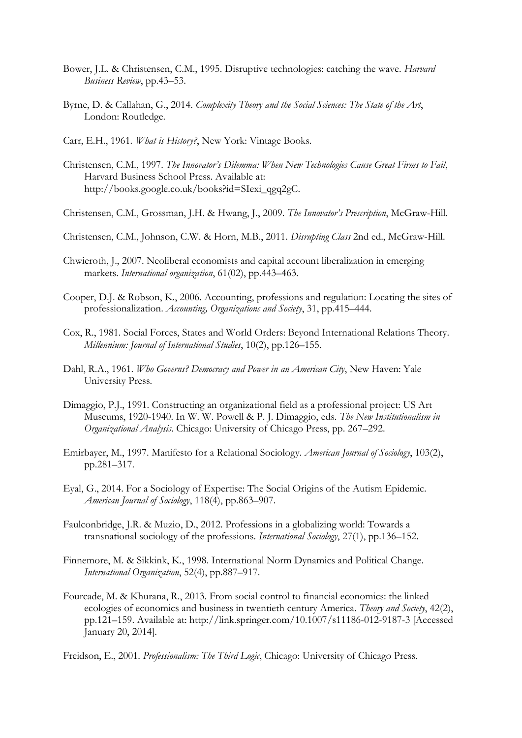- Bower, J.L. & Christensen, C.M., 1995. Disruptive technologies: catching the wave. *Harvard Business Review*, pp.43–53.
- Byrne, D. & Callahan, G., 2014. *Complexity Theory and the Social Sciences: The State of the Art*, London: Routledge.
- Carr, E.H., 1961. *What is History?*, New York: Vintage Books.
- Christensen, C.M., 1997. *The Innovator's Dilemma: When New Technologies Cause Great Firms to Fail*, Harvard Business School Press. Available at: http://books.google.co.uk/books?id=SIexi\_qgq2gC.
- Christensen, C.M., Grossman, J.H. & Hwang, J., 2009. *The Innovator's Prescription*, McGraw-Hill.
- Christensen, C.M., Johnson, C.W. & Horn, M.B., 2011. *Disrupting Class* 2nd ed., McGraw-Hill.
- Chwieroth, J., 2007. Neoliberal economists and capital account liberalization in emerging markets. *International organization*, 61(02), pp.443–463.
- Cooper, D.J. & Robson, K., 2006. Accounting, professions and regulation: Locating the sites of professionalization. *Accounting, Organizations and Society*, 31, pp.415–444.
- Cox, R., 1981. Social Forces, States and World Orders: Beyond International Relations Theory. *Millennium: Journal of International Studies*, 10(2), pp.126–155.
- Dahl, R.A., 1961. *Who Governs? Democracy and Power in an American City*, New Haven: Yale University Press.
- Dimaggio, P.J., 1991. Constructing an organizational field as a professional project: US Art Museums, 1920-1940. In W. W. Powell & P. J. Dimaggio, eds. *The New Institutionalism in Organizational Analysis*. Chicago: University of Chicago Press, pp. 267–292.
- Emirbayer, M., 1997. Manifesto for a Relational Sociology. *American Journal of Sociology*, 103(2), pp.281–317.
- Eyal, G., 2014. For a Sociology of Expertise: The Social Origins of the Autism Epidemic. *American Journal of Sociology*, 118(4), pp.863–907.
- Faulconbridge, J.R. & Muzio, D., 2012. Professions in a globalizing world: Towards a transnational sociology of the professions. *International Sociology*, 27(1), pp.136–152.
- Finnemore, M. & Sikkink, K., 1998. International Norm Dynamics and Political Change. *International Organization*, 52(4), pp.887–917.
- Fourcade, M. & Khurana, R., 2013. From social control to financial economics: the linked ecologies of economics and business in twentieth century America. *Theory and Society*, 42(2), pp.121–159. Available at: http://link.springer.com/10.1007/s11186-012-9187-3 [Accessed January 20, 2014].
- Freidson, E., 2001. *Professionalism: The Third Logic*, Chicago: University of Chicago Press.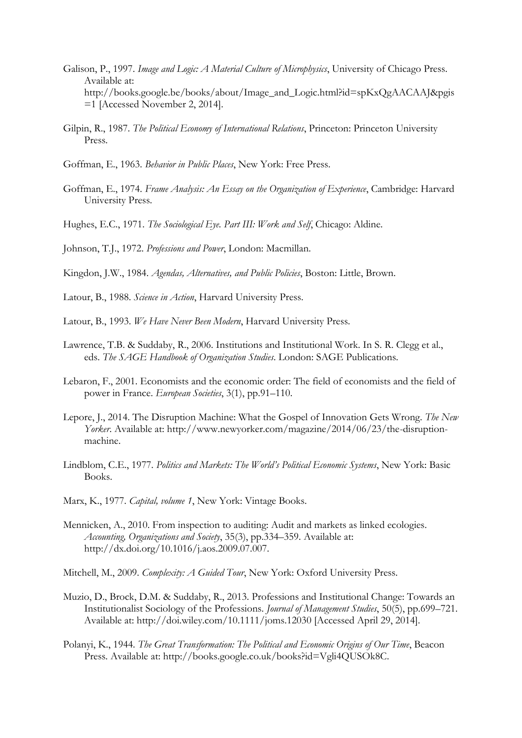- Galison, P., 1997. *Image and Logic: A Material Culture of Microphysics*, University of Chicago Press. Available at: http://books.google.be/books/about/Image\_and\_Logic.html?id=spKxQgAACAAJ&pgis =1 [Accessed November 2, 2014].
- Gilpin, R., 1987. *The Political Economy of International Relations*, Princeton: Princeton University Press.
- Goffman, E., 1963. *Behavior in Public Places*, New York: Free Press.
- Goffman, E., 1974. *Frame Analysis: An Essay on the Organization of Experience*, Cambridge: Harvard University Press.
- Hughes, E.C., 1971. *The Sociological Eye. Part III: Work and Self*, Chicago: Aldine.
- Johnson, T.J., 1972. *Professions and Power*, London: Macmillan.
- Kingdon, J.W., 1984. *Agendas, Alternatives, and Public Policies*, Boston: Little, Brown.
- Latour, B., 1988. *Science in Action*, Harvard University Press.
- Latour, B., 1993. *We Have Never Been Modern*, Harvard University Press.
- Lawrence, T.B. & Suddaby, R., 2006. Institutions and Institutional Work. In S. R. Clegg et al., eds. *The SAGE Handbook of Organization Studies*. London: SAGE Publications.
- Lebaron, F., 2001. Economists and the economic order: The field of economists and the field of power in France. *European Societies*, 3(1), pp.91–110.
- Lepore, J., 2014. The Disruption Machine: What the Gospel of Innovation Gets Wrong. *The New Yorker*. Available at: http://www.newyorker.com/magazine/2014/06/23/the-disruptionmachine.
- Lindblom, C.E., 1977. *Politics and Markets: The World's Political Economic Systems*, New York: Basic Books.
- Marx, K., 1977. *Capital, volume 1*, New York: Vintage Books.
- Mennicken, A., 2010. From inspection to auditing: Audit and markets as linked ecologies. *Accounting, Organizations and Society*, 35(3), pp.334–359. Available at: http://dx.doi.org/10.1016/j.aos.2009.07.007.
- Mitchell, M., 2009. *Complexity: A Guided Tour*, New York: Oxford University Press.
- Muzio, D., Brock, D.M. & Suddaby, R., 2013. Professions and Institutional Change: Towards an Institutionalist Sociology of the Professions. *Journal of Management Studies*, 50(5), pp.699–721. Available at: http://doi.wiley.com/10.1111/joms.12030 [Accessed April 29, 2014].
- Polanyi, K., 1944. *The Great Transformation: The Political and Economic Origins of Our Time*, Beacon Press. Available at: http://books.google.co.uk/books?id=Vgli4QUSOk8C.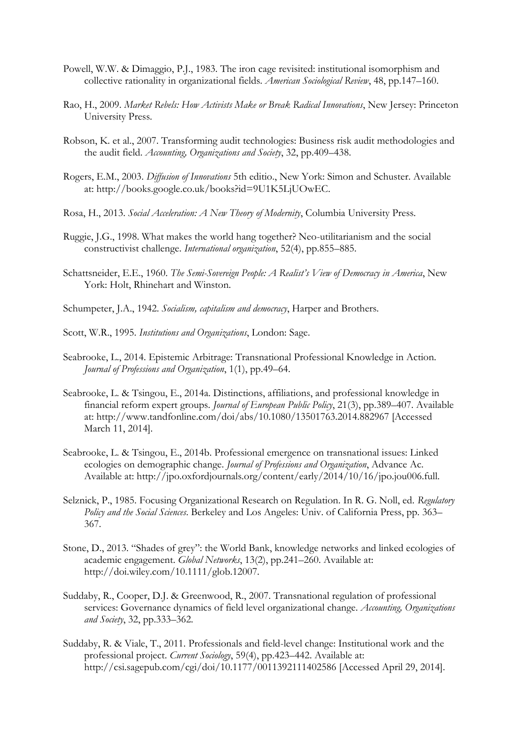- Powell, W.W. & Dimaggio, P.J., 1983. The iron cage revisited: institutional isomorphism and collective rationality in organizational fields. *American Sociological Review*, 48, pp.147–160.
- Rao, H., 2009. *Market Rebels: How Activists Make or Break Radical Innovations*, New Jersey: Princeton University Press.
- Robson, K. et al., 2007. Transforming audit technologies: Business risk audit methodologies and the audit field. *Accounting, Organizations and Society*, 32, pp.409–438.
- Rogers, E.M., 2003. *Diffusion of Innovations* 5th editio., New York: Simon and Schuster. Available at: http://books.google.co.uk/books?id=9U1K5LjUOwEC.
- Rosa, H., 2013. *Social Acceleration: A New Theory of Modernity*, Columbia University Press.
- Ruggie, J.G., 1998. What makes the world hang together? Neo-utilitarianism and the social constructivist challenge. *International organization*, 52(4), pp.855–885.
- Schattsneider, E.E., 1960. *The Semi-Sovereign People: A Realist's View of Democracy in America*, New York: Holt, Rhinehart and Winston.
- Schumpeter, J.A., 1942. *Socialism, capitalism and democracy*, Harper and Brothers.
- Scott, W.R., 1995. *Institutions and Organizations*, London: Sage.
- Seabrooke, L., 2014. Epistemic Arbitrage: Transnational Professional Knowledge in Action. *Journal of Professions and Organization*, 1(1), pp.49–64.
- Seabrooke, L. & Tsingou, E., 2014a. Distinctions, affiliations, and professional knowledge in financial reform expert groups. *Journal of European Public Policy*, 21(3), pp.389–407. Available at: http://www.tandfonline.com/doi/abs/10.1080/13501763.2014.882967 [Accessed March 11, 2014].
- Seabrooke, L. & Tsingou, E., 2014b. Professional emergence on transnational issues: Linked ecologies on demographic change. *Journal of Professions and Organization*, Advance Ac. Available at: http://jpo.oxfordjournals.org/content/early/2014/10/16/jpo.jou006.full.
- Selznick, P., 1985. Focusing Organizational Research on Regulation. In R. G. Noll, ed. *Regulatory Policy and the Social Sciences*. Berkeley and Los Angeles: Univ. of California Press, pp. 363– 367.
- Stone, D., 2013. "Shades of grey": the World Bank, knowledge networks and linked ecologies of academic engagement. *Global Networks*, 13(2), pp.241–260. Available at: http://doi.wiley.com/10.1111/glob.12007.
- Suddaby, R., Cooper, D.J. & Greenwood, R., 2007. Transnational regulation of professional services: Governance dynamics of field level organizational change. *Accounting, Organizations and Society*, 32, pp.333–362.
- Suddaby, R. & Viale, T., 2011. Professionals and field-level change: Institutional work and the professional project. *Current Sociology*, 59(4), pp.423–442. Available at: http://csi.sagepub.com/cgi/doi/10.1177/0011392111402586 [Accessed April 29, 2014].